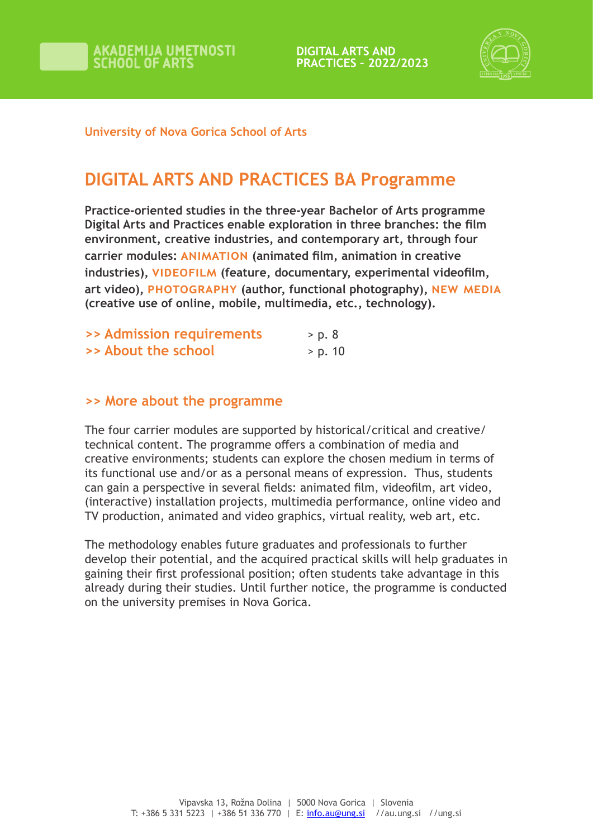



#### **University of Nova Gorica School of Arts**

## **DIGITAL ARTS AND PRACTICES BA Programme**

**Practice-oriented studies in the three-year Bachelor of Arts programme Digital Arts and Practices enable exploration in three branches: the film environment, creative industries, and contemporary art, through four carrier modules: animation (animated film, animation in creative industries), VIDEOFILM (feature, documentary, experimental videofilm, art video), photography (author, functional photography), new media (creative use of online, mobile, multimedia, etc., technology).**

|                     | >> Admission requirements | > p. 8  |  |
|---------------------|---------------------------|---------|--|
| >> About the school |                           | > p. 10 |  |

#### **>> More about the programme**

The four carrier modules are supported by historical/critical and creative/ technical content. The programme offers a combination of media and creative environments; students can explore the chosen medium in terms of its functional use and/or as a personal means of expression. Thus, students can gain a perspective in several fields: animated film, videofilm, art video, (interactive) installation projects, multimedia performance, online video and TV production, animated and video graphics, virtual reality, web art, etc.

The methodology enables future graduates and professionals to further develop their potential, and the acquired practical skills will help graduates in gaining their first professional position; often students take advantage in this already during their studies. Until further notice, the programme is conducted on the university premises in Nova Gorica.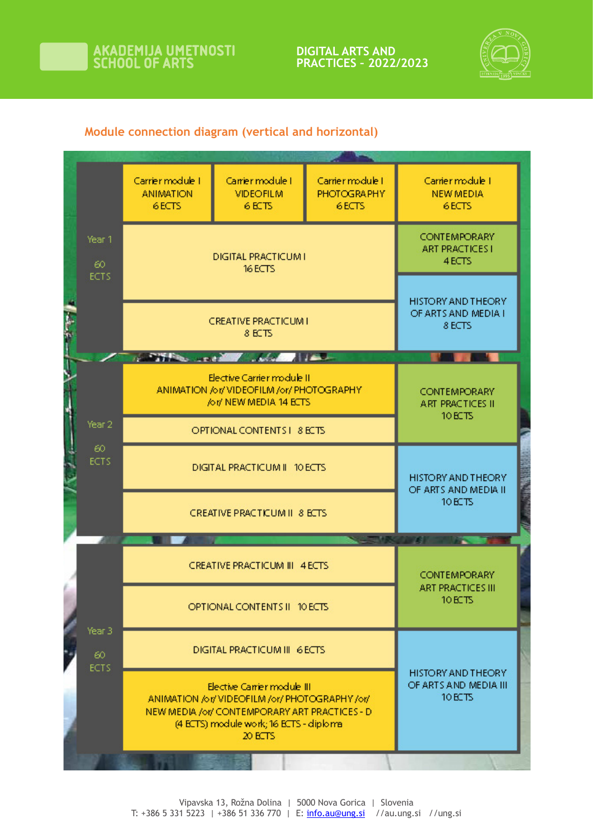

**PRACTICES – 2022/2023**



### **Module connection diagram (vertical and horizontal)**

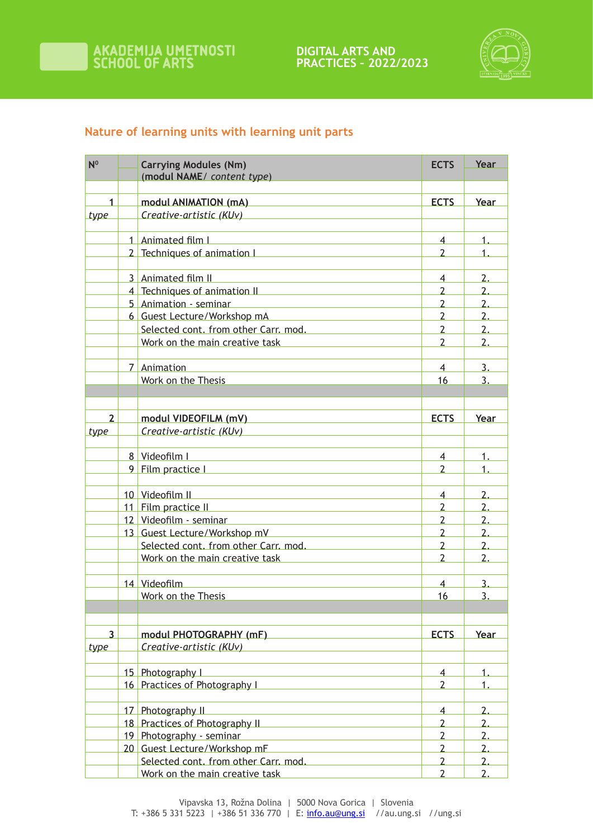



## **Nature of learning units with learning unit parts**

| N <sup>0</sup> | <b>Carrying Modules (Nm)</b>                                                                                                                                                                                                   | <b>ECTS</b>    | Year             |
|----------------|--------------------------------------------------------------------------------------------------------------------------------------------------------------------------------------------------------------------------------|----------------|------------------|
|                | (modul NAME/ content type)                                                                                                                                                                                                     |                |                  |
|                |                                                                                                                                                                                                                                |                |                  |
| 1              | modul ANIMATION (mA) Manuscriptus Contractor Contractor Contractor Contractor Contractor Contractor Contractor<br>Creative-artistic (KUv)                                                                                      | <b>ECTS</b>    | Year             |
| type           |                                                                                                                                                                                                                                |                |                  |
|                | 1 Animated film I<br><u> 1989 - Andrea Stadt Britain, amerikansk politik (* 1958)</u>                                                                                                                                          | $\overline{4}$ | $\mathbf 1$      |
|                | 2 Techniques of animation I                                                                                                                                                                                                    | $\overline{2}$ | 1                |
|                |                                                                                                                                                                                                                                |                |                  |
|                | 3 Animated film II<br><u> 1989 - Johann Stein, mars et al. 1989 - Anna ann an t-Anna ann an t-Anna ann an t-Anna ann an t-Anna ann an t-</u>                                                                                   | 4              | 2.               |
|                | 4 Techniques of animation II                                                                                                                                                                                                   | 2              | 2.               |
|                | 5 Animation - seminar<br><u> 1980 - Johann Barbara, martxa al</u>                                                                                                                                                              | $\overline{2}$ | 2.               |
|                | 6 Guest Lecture/Workshop mA                                                                                                                                                                                                    | $\overline{2}$ | 2.               |
|                | Selected cont. from other Carr. mod.                                                                                                                                                                                           | $\overline{2}$ | $\overline{2}$ . |
|                | Work on the main creative task Mork Communisment                                                                                                                                                                               | $\mathcal{P}$  | 2.               |
|                |                                                                                                                                                                                                                                |                |                  |
|                | 7 Animation                                                                                                                                                                                                                    | $\overline{4}$ | 3.               |
|                | Work on the Thesis                                                                                                                                                                                                             | 16             | 3.               |
|                |                                                                                                                                                                                                                                |                |                  |
| $\overline{2}$ | modul VIDEOFILM (mV)                                                                                                                                                                                                           | <b>ECTS</b>    | Year             |
| type           | <u> 1989 - Johann Barn, mars ann an t-Amhain Aonaich an t-Aonaich an t-Aonaich an t-Aonaich an t-Aonaich an t-Aon</u><br>Creative-artistic (KUv)                                                                               |                |                  |
|                | the control of the control of the control of the control of the control of                                                                                                                                                     |                |                  |
|                | 8 Videofilm I and the Contract of Contract of Contract of Contract of Contract of Contract of Contract of Contract of Contract of Contract of Contract of Contract of Contract of Contract of Contract of Contract of Contract | $\overline{4}$ | $\mathbf 1$ .    |
|                | 9 Film practice I                                                                                                                                                                                                              | $\overline{2}$ |                  |
|                |                                                                                                                                                                                                                                |                |                  |
|                | 10 Videofilm II and the contract of the Videofilm II and the contract of the Videofilm II and the contract of                                                                                                                  | $\overline{4}$ | 2.               |
|                | 11 Film practice II                                                                                                                                                                                                            | $\overline{2}$ | 2.               |
|                | 12 Videofilm - seminar<br>the control of the control of the control of the control of the control of                                                                                                                           | $\overline{2}$ | 2.               |
|                | 13 Guest Lecture/Workshop mV                                                                                                                                                                                                   | $\overline{2}$ | $\overline{2}$ . |
|                | Selected cont. from other Carr. mod.                                                                                                                                                                                           | $\overline{2}$ | 2.               |
|                | Work on the main creative task                                                                                                                                                                                                 | $\overline{2}$ | 2.               |
|                |                                                                                                                                                                                                                                |                |                  |
|                | 14 Videofilm                                                                                                                                                                                                                   | 4              | 3.               |
|                | Work on the Thesis                                                                                                                                                                                                             | 16             | $\overline{3}$ . |
|                |                                                                                                                                                                                                                                |                |                  |
| 3              | modul PHOTOGRAPHY (mF) National Management Control Management Control Management Control Management Control Ma                                                                                                                 | <b>ECTS</b>    | Year             |
| type           | Creative-artistic (KUv)                                                                                                                                                                                                        |                |                  |
|                |                                                                                                                                                                                                                                |                |                  |
|                | 15 Photography I                                                                                                                                                                                                               | 4              |                  |
|                | 16 Practices of Photography I                                                                                                                                                                                                  | 2              | 1.               |
|                |                                                                                                                                                                                                                                |                |                  |
|                | 17 Photography II                                                                                                                                                                                                              | $\overline{4}$ | 2.               |
|                | 18 Practices of Photography II                                                                                                                                                                                                 | $\overline{2}$ | 2.               |
|                | 19 Photography - seminar<br><u> 1980 - Johann Barn, mars an t-Amerikaansk politiker (</u>                                                                                                                                      | $\overline{2}$ | 2.               |
|                | 20 Guest Lecture/Workshop mF                                                                                                                                                                                                   | $\overline{2}$ | 2.               |
|                | Selected cont. from other Carr. mod.                                                                                                                                                                                           | $\overline{2}$ | 2.               |
|                | Work on the main creative task                                                                                                                                                                                                 | $\overline{2}$ | 2.               |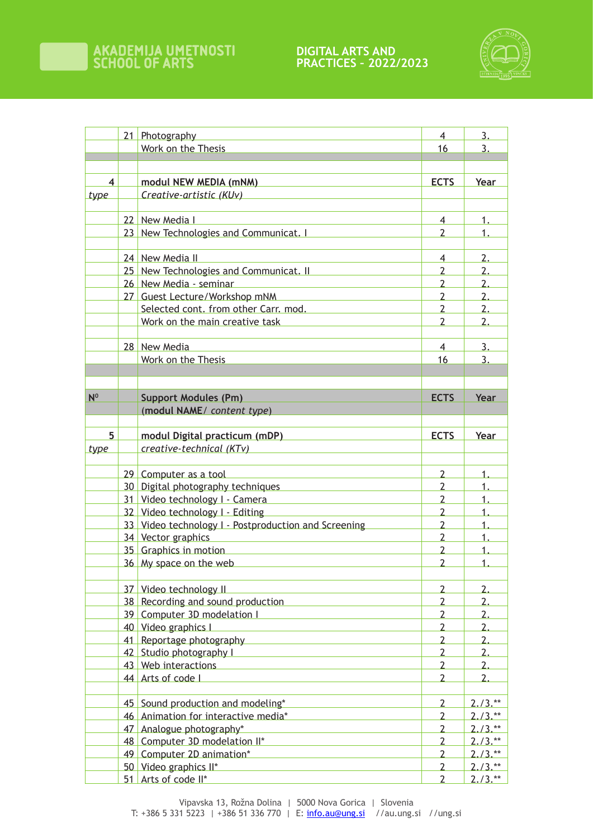

|                | 21 Photography                                       | $\overline{4}$           | $\overline{3}$ . |
|----------------|------------------------------------------------------|--------------------------|------------------|
|                | Work on the Thesis                                   | 16                       | 3.               |
|                |                                                      |                          |                  |
|                |                                                      |                          |                  |
| $\overline{4}$ | modul NEW MEDIA (mNM)                                | <b>ECTS</b>              | Year             |
| type           | Creative-artistic (KUv)                              |                          |                  |
|                |                                                      |                          |                  |
|                | 22 New Media I                                       | $\overline{4}$           | 1.               |
|                | 23 New Technologies and Communicat. I                | $\overline{2}$           | $\mathbf{1}$     |
|                |                                                      |                          |                  |
|                | 24 New Media II                                      | 4                        | 2.               |
|                | 25 New Technologies and Communicat. II               | $\overline{2}$           | 2.               |
|                | 26 New Media - seminar                               | $\overline{2}$           | 2.               |
|                | 27 Guest Lecture/Workshop mNM                        | $\overline{2}$           | 2.               |
|                | Selected cont. from other Carr. mod.                 | $\overline{2}$           | 2.               |
|                | Work on the main creative task                       | $\overline{\phantom{a}}$ | $\overline{2}$ . |
|                |                                                      |                          |                  |
|                | 28 New Media                                         | $\overline{4}$           | 3.               |
|                | Work on the Thesis                                   | 16                       | 3.               |
|                |                                                      |                          |                  |
|                |                                                      |                          |                  |
| N <sup>0</sup> | <b>Support Modules (Pm)</b>                          | <b>ECTS</b>              | Year             |
|                | (modul NAME/ content type)                           |                          |                  |
|                |                                                      |                          |                  |
| 5              | modul Digital practicum (mDP)                        | <b>ECTS</b>              | Year             |
| type           | creative-technical (KTv)                             |                          |                  |
|                |                                                      |                          |                  |
|                | 29 Computer as a tool                                | $\overline{2}$           | 1.               |
|                | 30 Digital photography techniques                    | $\overline{2}$           | $\mathbf 1$ .    |
|                | 31 Video technology I - Camera                       | $\overline{2}$           | 1.               |
|                | 32 Video technology I - Editing                      | $\overline{2}$           | 1.               |
|                | 33 Video technology I - Postproduction and Screening | $\overline{2}$           | 1.               |
|                | 34 Vector graphics                                   | $\overline{2}$           | $\mathbf{1}$     |
|                | 35 Graphics in motion                                | $\overline{2}$           | $\mathbf 1$      |
|                | 36 My space on the web                               | $\overline{2}$           | $\overline{1}$ . |
|                |                                                      |                          |                  |
|                | 37 Video technology II                               | $\overline{2}$           | 2.               |
|                | 38 Recording and sound production                    | $\overline{2}$           | 2.               |
|                | 39 Computer 3D modelation I                          | $\overline{2}$           | 2.               |
|                | 40 Video graphics I                                  | $\overline{2}$           | 2.               |
|                | 41 Reportage photography                             | $\overline{2}$           | 2.               |
|                | 42 Studio photography I                              | $\overline{2}$           | 2.               |
|                | 43 Web interactions                                  | $\overline{2}$           | 2.               |
|                | 44 Arts of code I                                    | $\overline{2}$           | 2.               |
|                |                                                      |                          |                  |
|                | 45 Sound production and modeling*                    | $\overline{2}$           | $2.73.**$        |
|                | 46 Animation for interactive media*                  | $\overline{2}$           | $2.73.**$        |
|                | 47 Analogue photography*                             | $\overline{2}$           | $2.73.**$        |
|                | 48 Computer 3D modelation II*                        | $\overline{2}$           | $2.73.**$        |
|                | 49 Computer 2D animation*                            | $\overline{2}$           | $2.73$ .**       |
|                | 50 Video graphics II*                                | $\overline{2}$           | $2.73.**$        |
|                | 51 Arts of code II*                                  | $\overline{2}$           | $2.73.**$        |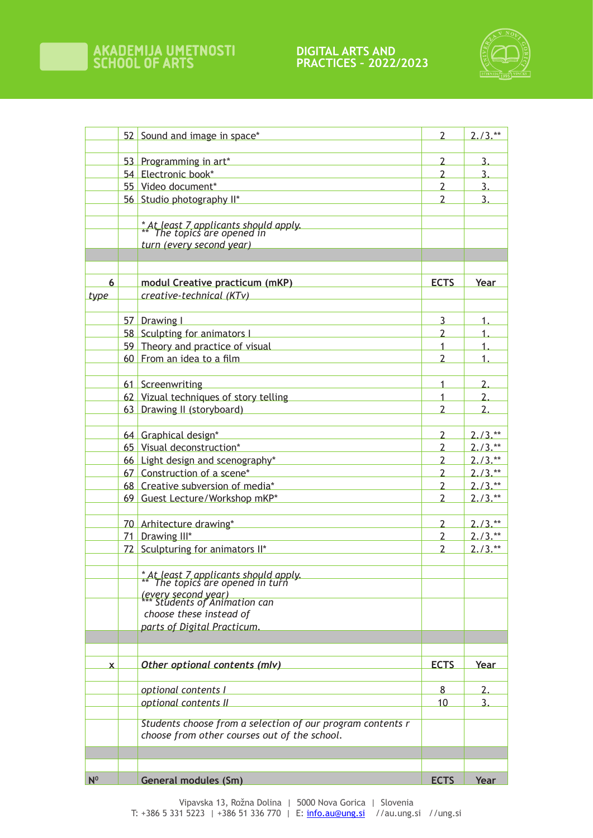

|                | 52 Sound and image in space*                                              | 2                                | $2.73$ .**             |
|----------------|---------------------------------------------------------------------------|----------------------------------|------------------------|
|                | 53 Programming in art*                                                    | 2                                | 3.                     |
|                | 54 Electronic book*                                                       | 2                                | 3.                     |
|                | 55 Video document*                                                        | $\overline{2}$                   | 3.                     |
|                | 56 Studio photography II*                                                 | $\overline{\phantom{a}}$         | $\overline{3}$         |
|                |                                                                           |                                  |                        |
|                |                                                                           |                                  |                        |
|                | * At least 7 applicants should apply.<br>** The topics are opened in      |                                  |                        |
|                | turn (every second year)                                                  |                                  |                        |
|                |                                                                           |                                  |                        |
| 6              |                                                                           | <b>ECTS</b>                      |                        |
| type           | modul Creative practicum (mKP)<br>creative-technical (KTv)                |                                  | Year                   |
|                |                                                                           |                                  |                        |
|                | 57 Drawing I                                                              | 3                                | $\mathbf 1$            |
|                | 58 Sculpting for animators L                                              | $\mathcal{P}$                    |                        |
|                | 59 Theory and practice of visual                                          | 1                                | 1.                     |
|                | 60 From an idea to a film                                                 | 2                                | 1.                     |
|                |                                                                           |                                  |                        |
|                | 61 Screenwriting                                                          | 1                                | 2.                     |
|                | 62 Vizual techniques of story telling                                     | 1                                | $\overline{2}$ .       |
|                | 63 Drawing II (storyboard)                                                | $\overline{\phantom{a}}$         | $\overline{2}$         |
|                |                                                                           |                                  |                        |
|                | 64 Graphical design*                                                      | $\overline{2}$                   | $2.73$ .**             |
|                | 65 Visual deconstruction*                                                 | 2                                | $2.73$ .**             |
|                | 66 Light design and scenography*                                          | 2                                | $2.73.**$              |
|                | 67 Construction of a scene*                                               | $\overline{2}$                   | $2.73$ .               |
|                | 68 Creative subversion of media*                                          | $\overline{2}$                   | $2.73$ .               |
|                | 69 Guest Lecture/Workshop mKP*                                            | $\overline{\phantom{a}}$         | $2.73$ .**             |
|                |                                                                           |                                  |                        |
|                | 70 Arhitecture drawing*                                                   | 2                                | $2.73.**$              |
|                | 71 Drawing III*                                                           | $\overline{2}$<br>$\overline{2}$ | $2.73$ .**<br>$2./3.*$ |
|                | 72 Sculpturing for animators II*                                          |                                  |                        |
|                |                                                                           |                                  |                        |
|                | * At least 7 applicants should apply.<br>** The topics are opened in turn |                                  |                        |
|                | (every second year)<br>*** Students of Animation can                      |                                  |                        |
|                | choose these instead of                                                   |                                  |                        |
|                | parts of Digital Practicum.                                               |                                  |                        |
|                |                                                                           |                                  |                        |
|                |                                                                           |                                  |                        |
| $\mathbf x$    | Other optional contents (mlv)                                             | <b>ECTS</b>                      | Year                   |
|                |                                                                           |                                  |                        |
|                | optional contents I                                                       | 8                                | 2.                     |
|                | optional contents II                                                      | 10                               | 3.                     |
|                | Students choose from a selection of our program contents r                |                                  |                        |
|                | choose from other courses out of the school.                              |                                  |                        |
|                |                                                                           |                                  |                        |
|                |                                                                           |                                  |                        |
|                |                                                                           |                                  |                        |
| N <sup>0</sup> | <b>General modules (Sm)</b>                                               | <b>ECTS</b>                      | Year                   |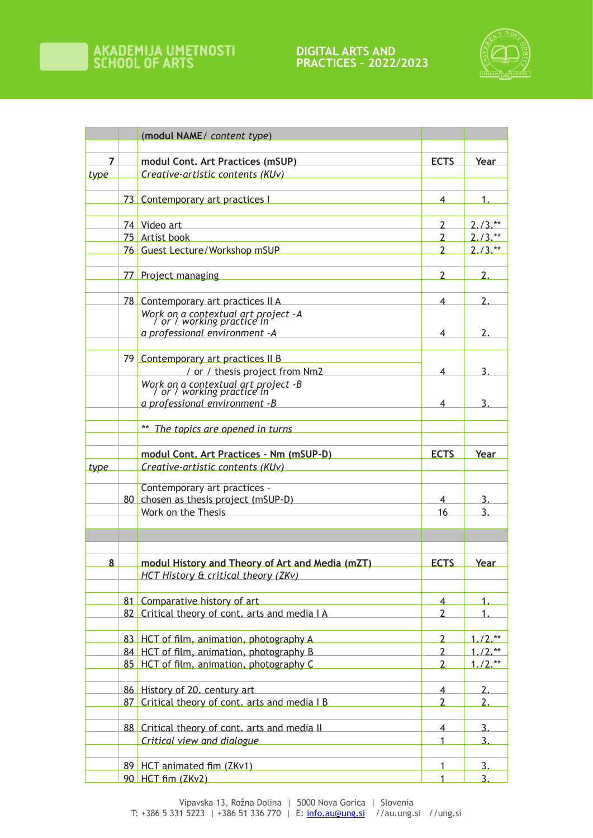**DIGITAL ARTS AND PRACTICES – 2022/2023**



|             | (modul NAME/ content type)                                        |                |            |
|-------------|-------------------------------------------------------------------|----------------|------------|
|             |                                                                   |                |            |
| 7           | modul Cont. Art Practices (mSUP)                                  | <b>ECTS</b>    | Year       |
| <u>type</u> | Creative-artistic contents (KUv)                                  |                |            |
|             | 73 Contemporary art practices I                                   | 4              | 1.         |
|             |                                                                   |                |            |
|             | 74 Video art                                                      | 2              | $2.73$ .   |
|             | 75 Artist book                                                    | 2              | $2.73$ .** |
|             | 76 Guest Lecture/Workshop mSUP                                    | $\overline{2}$ | $2.73.**$  |
|             | 77 Project managing                                               | 2              | 2.         |
|             |                                                                   |                |            |
|             | 78 Contemporary art practices II A                                | 4              | 2.         |
|             | Work on a contextual art project -A<br>/ or / working practice in |                |            |
|             | a professional environment - A                                    | 4              | 2.         |
|             |                                                                   |                |            |
|             | 79 Contemporary art practices II B                                |                |            |
|             | / or / thesis project from Nm2                                    | 4              |            |
|             | Work on a contextual art project -B<br>  or / working practice in |                |            |
|             | a professional environment -B                                     | 4              | 3.         |
|             |                                                                   |                |            |
|             | The topics are opened in turns                                    |                |            |
|             | modul Cont. Art Practices - Nm (mSUP-D)                           | <b>ECTS</b>    | Year       |
| <u>type</u> | Creative-artistic contents (KUv)                                  |                |            |
|             |                                                                   |                |            |
|             | Contemporary art practices -                                      |                |            |
|             | 80 chosen as thesis project (mSUP-D)                              | 4              | 3.         |
|             | Work on the Thesis                                                | 16             | 3          |
|             |                                                                   |                |            |
|             |                                                                   |                |            |
| 8           | modul History and Theory of Art and Media (mZT)                   | <b>ECTS</b>    | Year       |
|             | <b>HCT History &amp; critical theory (ZKv)</b>                    |                |            |
|             | 81 Comparative history of art                                     | $\overline{4}$ | 1.         |
|             | 82 Critical theory of cont. arts and media I A                    | $\overline{2}$ | 1.         |
|             |                                                                   |                |            |
|             | 83 HCT of film, animation, photography A                          | $\overline{2}$ | $1.72$ .** |
|             | 84 HCT of film, animation, photography B                          | $\overline{2}$ | $1.72$ .** |
|             | 85 HCT of film, animation, photography C                          | $\overline{2}$ | $1.72$ .** |
|             | 86 History of 20. century art                                     | $\overline{4}$ | 2.         |
|             | 87 Critical theory of cont. arts and media I B                    | $\overline{2}$ | 2.         |
|             |                                                                   |                |            |
|             | 88 Critical theory of cont. arts and media II                     | $\overline{4}$ | 3.         |
|             | Critical view and dialogue                                        | 1              | 3.         |
|             | 89 HCT animated fim (ZKv1)                                        | 1              | 3.         |
|             | 90 HCT fim (ZKv2)                                                 | 1              | 3.         |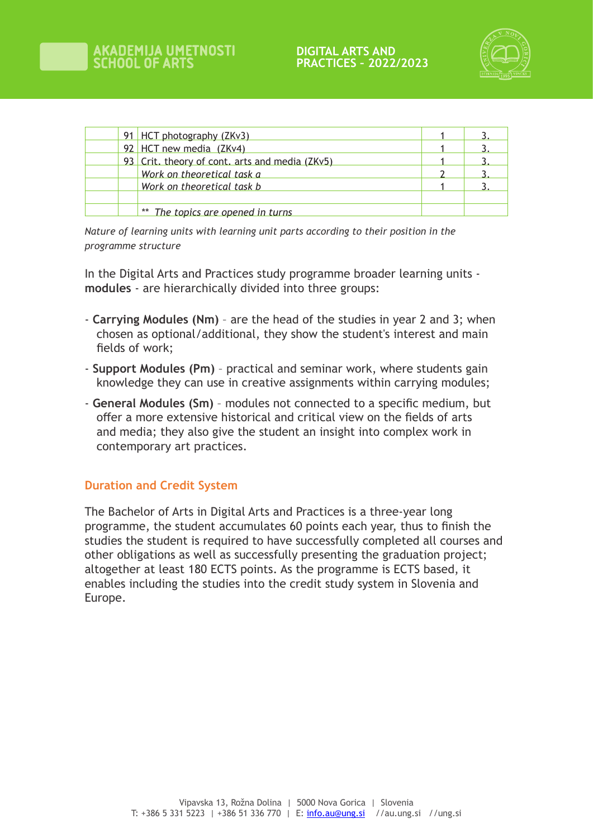

| 91 HCT photography (ZKv3)                      |  |
|------------------------------------------------|--|
| 92 HCT new media (ZKv4)                        |  |
| 93 Crit. theory of cont. arts and media (ZKv5) |  |
| Work on theoretical task a                     |  |
| Work on theoretical task b                     |  |
|                                                |  |
| ** The topics are opened in turns              |  |

*Nature of learning units with learning unit parts according to their position in the programme structure*

In the Digital Arts and Practices study programme broader learning units **modules** - are hierarchically divided into three groups:

- **Carrying Modules (Nm)**  are the head of the studies in year 2 and 3; when chosen as optional/additional, they show the student's interest and main fields of work;
- **Support Modules (Pm)** practical and seminar work, where students gain knowledge they can use in creative assignments within carrying modules;
- **General Modules (Sm)** modules not connected to a specific medium, but offer a more extensive historical and critical view on the fields of arts and media; they also give the student an insight into complex work in contemporary art practices.

#### **Duration and Credit System**

The Bachelor of Arts in Digital Arts and Practices is a three-year long programme, the student accumulates 60 points each year, thus to finish the studies the student is required to have successfully completed all courses and other obligations as well as successfully presenting the graduation project; altogether at least 180 ECTS points. As the programme is ECTS based, it enables including the studies into the credit study system in Slovenia and Europe.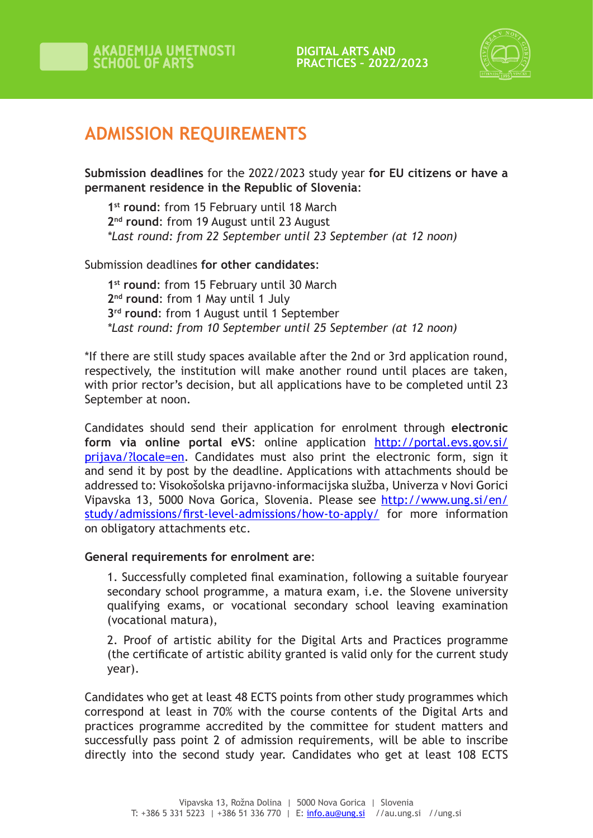

# **ADMISSION REQUIREMENTS**

**Submission deadlines** for the 2022/2023 study year **for EU citizens or have a permanent residence in the Republic of Slovenia**:

1<sup>st</sup> round: from 15 February until 18 March 2<sup>nd</sup> round: from 19 August until 23 August *\*Last round: from 22 September until 23 September (at 12 noon)*

Submission deadlines **for other candidates**:

**1st round**: from 15 February until 30 March **2nd round**: from 1 May until 1 July **3rd round**: from 1 August until 1 September *\*Last round: from 10 September until 25 September (at 12 noon)*

\*If there are still study spaces available after the 2nd or 3rd application round, respectively, the institution will make another round until places are taken, with prior rector's decision, but all applications have to be completed until 23 September at noon.

Candidates should send their application for enrolment through **electronic form via online portal eVS**: online application http://portal.evs.gov.si/ prijava/?locale=en. Candidates must also print the electronic form, sign it and send it by post by the deadline. Applications with attachments should be addressed to: Visokošolska prijavno-informacijska služba, Univerza v Novi Gorici Vipavska 13, 5000 Nova Gorica, Slovenia. Please see http://www.ung.si/en/ study/admissions/first-level-admissions/how-to-apply/ for more information on obligatory attachments etc.

#### **General requirements for enrolment are**:

1. Successfully completed final examination, following a suitable fouryear secondary school programme, a matura exam, i.e. the Slovene university qualifying exams, or vocational secondary school leaving examination (vocational matura),

2. Proof of artistic ability for the Digital Arts and Practices programme (the certificate of artistic ability granted is valid only for the current study year).

Candidates who get at least 48 ECTS points from other study programmes which correspond at least in 70% with the course contents of the Digital Arts and practices programme accredited by the committee for student matters and successfully pass point 2 of admission requirements, will be able to inscribe directly into the second study year. Candidates who get at least 108 ECTS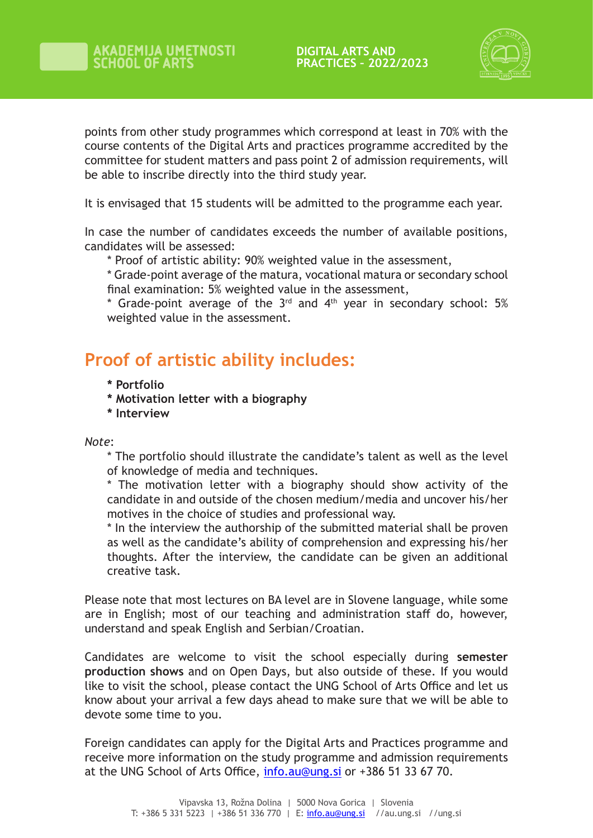

points from other study programmes which correspond at least in 70% with the course contents of the Digital Arts and practices programme accredited by the committee for student matters and pass point 2 of admission requirements, will be able to inscribe directly into the third study year.

It is envisaged that 15 students will be admitted to the programme each year.

In case the number of candidates exceeds the number of available positions, candidates will be assessed:

\* Proof of artistic ability: 90% weighted value in the assessment,

\* Grade-point average of the matura, vocational matura or secondary school final examination: 5% weighted value in the assessment,

\* Grade-point average of the  $3^{rd}$  and  $4^{th}$  year in secondary school: 5% weighted value in the assessment.

## **Proof of artistic ability includes:**

- **\* Portfolio**
- **\* Motivation letter with a biography**
- **\* Interview**

*Note*:

\* The portfolio should illustrate the candidate's talent as well as the level of knowledge of media and techniques.

\* The motivation letter with a biography should show activity of the candidate in and outside of the chosen medium/media and uncover his/her motives in the choice of studies and professional way.

\* In the interview the authorship of the submitted material shall be proven as well as the candidate's ability of comprehension and expressing his/her thoughts. After the interview, the candidate can be given an additional creative task.

Please note that most lectures on BA level are in Slovene language, while some are in English; most of our teaching and administration staff do, however, understand and speak English and Serbian/Croatian.

Candidates are welcome to visit the school especially during **semester production shows** and on Open Days, but also outside of these. If you would like to visit the school, please contact the UNG School of Arts Office and let us know about your arrival a few days ahead to make sure that we will be able to devote some time to you.

Foreign candidates can apply for the Digital Arts and Practices programme and receive more information on the study programme and admission requirements at the UNG School of Arts Office, info.au@ung.si or +386 51 33 67 70.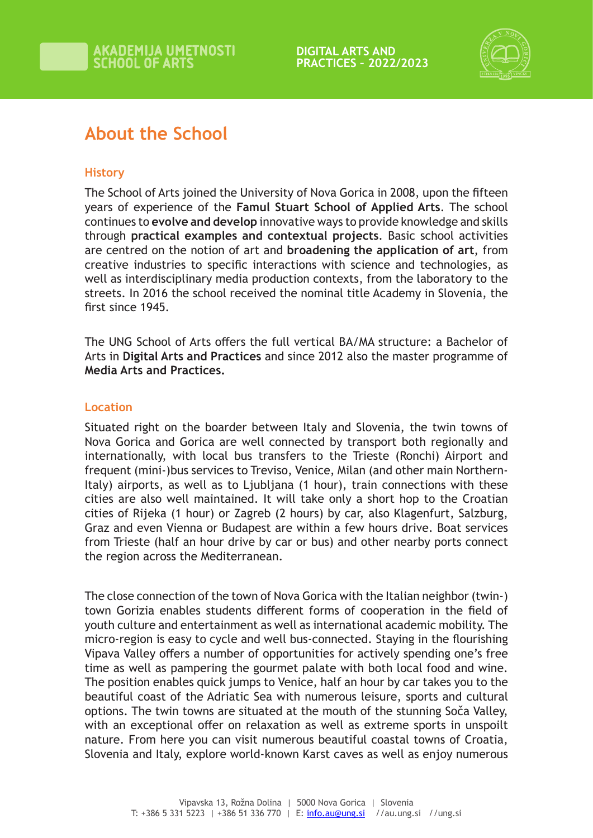

# **About the School**

### **History**

The School of Arts joined the University of Nova Gorica in 2008, upon the fifteen years of experience of the **Famul Stuart School of Applied Arts**. The school continues to **evolve and develop** innovative ways to provide knowledge and skills through **practical examples and contextual projects**. Basic school activities are centred on the notion of art and **broadening the application of art**, from creative industries to specific interactions with science and technologies, as well as interdisciplinary media production contexts, from the laboratory to the streets. In 2016 the school received the nominal title Academy in Slovenia, the first since 1945.

The UNG School of Arts offers the full vertical BA/MA structure: a Bachelor of Arts in **Digital Arts and Practices** and since 2012 also the master programme of **Media Arts and Practices.** 

#### **Location**

Situated right on the boarder between Italy and Slovenia, the twin towns of Nova Gorica and Gorica are well connected by transport both regionally and internationally, with local bus transfers to the Trieste (Ronchi) Airport and frequent (mini-)bus services to Treviso, Venice, Milan (and other main Northern-Italy) airports, as well as to Ljubljana (1 hour), train connections with these cities are also well maintained. It will take only a short hop to the Croatian cities of Rijeka (1 hour) or Zagreb (2 hours) by car, also Klagenfurt, Salzburg, Graz and even Vienna or Budapest are within a few hours drive. Boat services from Trieste (half an hour drive by car or bus) and other nearby ports connect the region across the Mediterranean.

The close connection of the town of Nova Gorica with the Italian neighbor (twin-) town Gorizia enables students different forms of cooperation in the field of youth culture and entertainment as well as international academic mobility. The micro-region is easy to cycle and well bus-connected. Staying in the flourishing Vipava Valley offers a number of opportunities for actively spending one's free time as well as pampering the gourmet palate with both local food and wine. The position enables quick jumps to Venice, half an hour by car takes you to the beautiful coast of the Adriatic Sea with numerous leisure, sports and cultural options. The twin towns are situated at the mouth of the stunning Soča Valley, with an exceptional offer on relaxation as well as extreme sports in unspoilt nature. From here you can visit numerous beautiful coastal towns of Croatia, Slovenia and Italy, explore world-known Karst caves as well as enjoy numerous